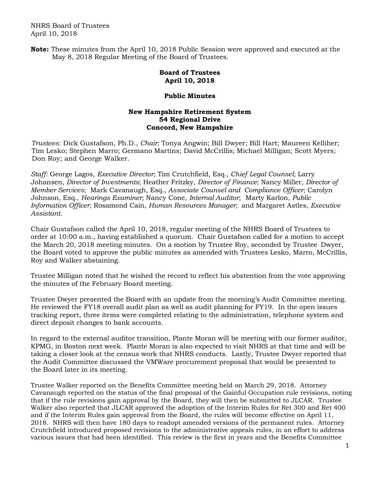NHRS Board of Trustees April 10, 2018

**Note:** These minutes from the April 10, 2018 Public Session were approved and executed at the May 8, 2018 Regular Meeting of the Board of Trustees.

## **Board of Trustees April 10, 2018**

## **Public Minutes**

## **New Hampshire Retirement System 54 Regional Drive Concord, New Hampshire**

 *Trustees:* Dick Gustafson, Ph.D., *Chair*; Tonya Angwin; Bill Dwyer; Bill Hart; Maureen Kelliher; Tim Lesko; Stephen Marro; Germano Martins; David McCrillis; Michael Milligan; Scott Myers; Don Roy; and George Walker.

*Staff:* George Lagos, *Executive Director*; Tim Crutchfield, Esq., *Chief Legal Counsel*; Larry Johansen, *Director of Investments*; Heather Fritzky, *Director of Finance*; Nancy Miller, *Director of Member Services*; Mark Cavanaugh, Esq., *Associate Counsel and Compliance Officer*; Carolyn Johnson, Esq., *Hearings Examiner*; Nancy Cone, *Internal Auditor*; Marty Karlon, *Public Information Officer*; Rosamond Cain, *Human Resources Manager;* and Margaret Astles, *Executive Assistant*.

Chair Gustafson called the April 10, 2018, regular meeting of the NHRS Board of Trustees to order at 10:00 a.m., having established a quorum. Chair Gustafson called for a motion to accept the March 20, 2018 meeting minutes. On a motion by Trustee Roy, seconded by Trustee Dwyer, the Board voted to approve the public minutes as amended with Trustees Lesko, Marro, McCrillis, Roy and Walker abstaining.

Trustee Milligan noted that he wished the record to reflect his abstention from the vote approving the minutes of the February Board meeting.

Trustee Dwyer presented the Board with an update from the morning's Audit Committee meeting. He reviewed the FY18 overall audit plan as well as audit planning for FY19. In the open issues tracking report, three items were completed relating to the administration, telephone system and direct deposit changes to bank accounts.

In regard to the external auditor transition, Plante Moran will be meeting with our former auditor, KPMG, in Boston next week. Plante Moran is also expected to visit NHRS at that time and will be taking a closer look at the census work that NHRS conducts. Lastly, Trustee Dwyer reported that the Audit Committee discussed the VMWare procurement proposal that would be presented to the Board later in its meeting.

Trustee Walker reported on the Benefits Committee meeting held on March 29, 2018. Attorney Cavanaugh reported on the status of the final proposal of the Gainful Occupation rule revisions, noting that if the rule revisions gain approval by the Board, they will then be submitted to JLCAR. Trustee Walker also reported that JLCAR approved the adoption of the Interim Rules for Ret 300 and Ret 400 and if the Interim Rules gain approval from the Board, the rules will become effective on April 11, 2018. NHRS will then have 180 days to readopt amended versions of the permanent rules. Attorney Crutchfield introduced proposed revisions to the administrative appeals rules, in an effort to address various issues that had been identified. This review is the first in years and the Benefits Committee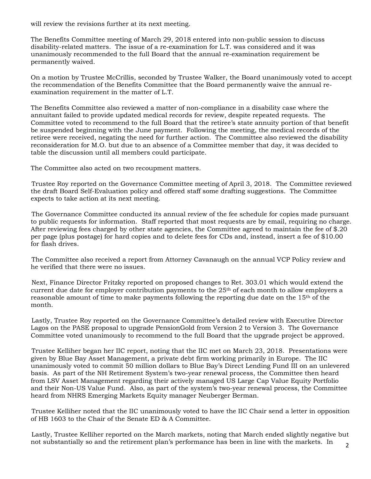will review the revisions further at its next meeting.

The Benefits Committee meeting of March 29, 2018 entered into non-public session to discuss disability-related matters. The issue of a re-examination for L.T. was considered and it was unanimously recommended to the full Board that the annual re-examination requirement be permanently waived.

On a motion by Trustee McCrillis, seconded by Trustee Walker, the Board unanimously voted to accept the recommendation of the Benefits Committee that the Board permanently waive the annual reexamination requirement in the matter of L.T.

The Benefits Committee also reviewed a matter of non-compliance in a disability case where the annuitant failed to provide updated medical records for review, despite repeated requests. The Committee voted to recommend to the full Board that the retiree's state annuity portion of that benefit be suspended beginning with the June payment. Following the meeting, the medical records of the retiree were received, negating the need for further action. The Committee also reviewed the disability reconsideration for M.O. but due to an absence of a Committee member that day, it was decided to table the discussion until all members could participate.

The Committee also acted on two recoupment matters.

Trustee Roy reported on the Governance Committee meeting of April 3, 2018. The Committee reviewed the draft Board Self-Evaluation policy and offered staff some drafting suggestions. The Committee expects to take action at its next meeting.

The Governance Committee conducted its annual review of the fee schedule for copies made pursuant to public requests for information. Staff reported that most requests are by email, requiring no charge. After reviewing fees charged by other state agencies, the Committee agreed to maintain the fee of \$.20 per page (plus postage) for hard copies and to delete fees for CDs and, instead, insert a fee of \$10.00 for flash drives.

The Committee also received a report from Attorney Cavanaugh on the annual VCP Policy review and he verified that there were no issues.

Next, Finance Director Fritzky reported on proposed changes to Ret. 303.01 which would extend the current due date for employer contribution payments to the  $25<sup>th</sup>$  of each month to allow employers a reasonable amount of time to make payments following the reporting due date on the 15th of the month.

Lastly, Trustee Roy reported on the Governance Committee's detailed review with Executive Director Lagos on the PASE proposal to upgrade PensionGold from Version 2 to Version 3. The Governance Committee voted unanimously to recommend to the full Board that the upgrade project be approved.

Trustee Kelliher began her IIC report, noting that the IIC met on March 23, 2018. Presentations were given by Blue Bay Asset Management, a private debt firm working primarily in Europe. The IIC unanimously voted to commit 50 million dollars to Blue Bay's Direct Lending Fund III on an unlevered basis. As part of the NH Retirement System's two-year renewal process, the Committee then heard from LSV Asset Management regarding their actively managed US Large Cap Value Equity Portfolio and their Non-US Value Fund. Also, as part of the system's two-year renewal process, the Committee heard from NHRS Emerging Markets Equity manager Neuberger Berman.

Trustee Kelliher noted that the IIC unanimously voted to have the IIC Chair send a letter in opposition of HB 1603 to the Chair of the Senate ED & A Committee.

Lastly, Trustee Kelliher reported on the March markets, noting that March ended slightly negative but not substantially so and the retirement plan's performance has been in line with the markets. In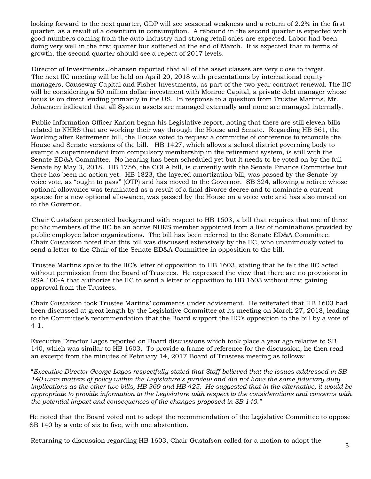looking forward to the next quarter, GDP will see seasonal weakness and a return of 2.2% in the first quarter, as a result of a downturn in consumption. A rebound in the second quarter is expected with good numbers coming from the auto industry and strong retail sales are expected. Labor had been doing very well in the first quarter but softened at the end of March. It is expected that in terms of growth, the second quarter should see a repeat of 2017 levels.

Director of Investments Johansen reported that all of the asset classes are very close to target. The next IIC meeting will be held on April 20, 2018 with presentations by international equity managers, Causeway Capital and Fisher Investments, as part of the two-year contract renewal. The IIC will be considering a 50 million dollar investment with Monroe Capital, a private debt manager whose focus is on direct lending primarily in the US. In response to a question from Trustee Martins, Mr. Johansen indicated that all System assets are managed externally and none are managed internally.

Public Information Officer Karlon began his Legislative report, noting that there are still eleven bills related to NHRS that are working their way through the House and Senate. Regarding HB 561, the Working after Retirement bill, the House voted to request a committee of conference to reconcile the House and Senate versions of the bill. HB 1427, which allows a school district governing body to exempt a superintendent from compulsory membership in the retirement system, is still with the Senate ED&A Committee. No hearing has been scheduled yet but it needs to be voted on by the full Senate by May 3, 2018. HB 1756, the COLA bill, is currently with the Senate Finance Committee but there has been no action yet. HB 1823, the layered amortization bill, was passed by the Senate by voice vote, as "ought to pass" (OTP) and has moved to the Governor. SB 324, allowing a retiree whose optional allowance was terminated as a result of a final divorce decree and to nominate a current spouse for a new optional allowance, was passed by the House on a voice vote and has also moved on to the Governor.

Chair Gustafson presented background with respect to HB 1603, a bill that requires that one of three public members of the IIC be an active NHRS member appointed from a list of nominations provided by public employee labor organizations. The bill has been referred to the Senate ED&A Committee. Chair Gustafson noted that this bill was discussed extensively by the IIC, who unanimously voted to send a letter to the Chair of the Senate ED&A Committee in opposition to the bill.

Trustee Martins spoke to the IIC's letter of opposition to HB 1603, stating that he felt the IIC acted without permission from the Board of Trustees. He expressed the view that there are no provisions in RSA 100-A that authorize the IIC to send a letter of opposition to HB 1603 without first gaining approval from the Trustees.

Chair Gustafson took Trustee Martins' comments under advisement. He reiterated that HB 1603 had been discussed at great length by the Legislative Committee at its meeting on March 27, 2018, leading to the Committee's recommendation that the Board support the IIC's opposition to the bill by a vote of 4-1.

Executive Director Lagos reported on Board discussions which took place a year ago relative to SB 140, which was similar to HB 1603. To provide a frame of reference for the discussion, he then read an excerpt from the minutes of February 14, 2017 Board of Trustees meeting as follows:

"*Executive Director George Lagos respectfully stated that Staff believed that the issues addressed in SB 140 were matters of policy within the Legislature's purview and did not have the same fiduciary duty implications as the other two bills, HB 369 and HB 425. He suggested that in the alternative, it would be appropriate to provide information to the Legislature with respect to the considerations and concerns with the potential impact and consequences of the changes proposed in SB 140."* 

 He noted that the Board voted not to adopt the recommendation of the Legislative Committee to oppose SB 140 by a vote of six to five, with one abstention.

Returning to discussion regarding HB 1603, Chair Gustafson called for a motion to adopt the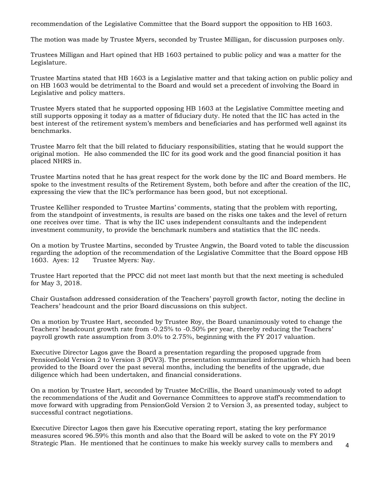recommendation of the Legislative Committee that the Board support the opposition to HB 1603.

The motion was made by Trustee Myers, seconded by Trustee Milligan, for discussion purposes only.

Trustees Milligan and Hart opined that HB 1603 pertained to public policy and was a matter for the Legislature.

Trustee Martins stated that HB 1603 is a Legislative matter and that taking action on public policy and on HB 1603 would be detrimental to the Board and would set a precedent of involving the Board in Legislative and policy matters.

Trustee Myers stated that he supported opposing HB 1603 at the Legislative Committee meeting and still supports opposing it today as a matter of fiduciary duty. He noted that the IIC has acted in the best interest of the retirement system's members and beneficiaries and has performed well against its benchmarks.

Trustee Marro felt that the bill related to fiduciary responsibilities, stating that he would support the original motion. He also commended the IIC for its good work and the good financial position it has placed NHRS in.

Trustee Martins noted that he has great respect for the work done by the IIC and Board members. He spoke to the investment results of the Retirement System, both before and after the creation of the IIC, expressing the view that the IIC's performance has been good, but not exceptional.

Trustee Kelliher responded to Trustee Martins' comments, stating that the problem with reporting, from the standpoint of investments, is results are based on the risks one takes and the level of return one receives over time. That is why the IIC uses independent consultants and the independent investment community, to provide the benchmark numbers and statistics that the IIC needs.

On a motion by Trustee Martins, seconded by Trustee Angwin, the Board voted to table the discussion regarding the adoption of the recommendation of the Legislative Committee that the Board oppose HB 1603. Ayes: 12 Trustee Myers: Nay.

Trustee Hart reported that the PPCC did not meet last month but that the next meeting is scheduled for May 3, 2018.

Chair Gustafson addressed consideration of the Teachers' payroll growth factor, noting the decline in Teachers' headcount and the prior Board discussions on this subject.

On a motion by Trustee Hart, seconded by Trustee Roy, the Board unanimously voted to change the Teachers' headcount growth rate from -0.25% to -0.50% per year, thereby reducing the Teachers' payroll growth rate assumption from 3.0% to 2.75%, beginning with the FY 2017 valuation.

Executive Director Lagos gave the Board a presentation regarding the proposed upgrade from PensionGold Version 2 to Version 3 (PGV3). The presentation summarized information which had been provided to the Board over the past several months, including the benefits of the upgrade, due diligence which had been undertaken, and financial considerations.

On a motion by Trustee Hart, seconded by Trustee McCrillis, the Board unanimously voted to adopt the recommendations of the Audit and Governance Committees to approve staff's recommendation to move forward with upgrading from PensionGold Version 2 to Version 3, as presented today, subject to successful contract negotiations.

Executive Director Lagos then gave his Executive operating report, stating the key performance measures scored 96.59% this month and also that the Board will be asked to vote on the FY 2019 Strategic Plan. He mentioned that he continues to make his weekly survey calls to members and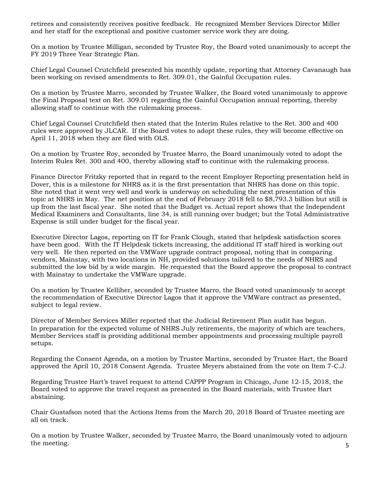retirees and consistently receives positive feedback. He recognized Member Services Director Miller and her staff for the exceptional and positive customer service work they are doing.

On a motion by Trustee Milligan, seconded by Trustee Roy, the Board voted unanimously to accept the FY 2019 Three Year Strategic Plan.

Chief Legal Counsel Crutchfield presented his monthly update, reporting that Attorney Cavanaugh has been working on revised amendments to Ret. 309.01, the Gainful Occupation rules.

On a motion by Trustee Marro, seconded by Trustee Walker, the Board voted unanimously to approve the Final Proposal text on Ret. 309.01 regarding the Gainful Occupation annual reporting, thereby allowing staff to continue with the rulemaking process.

Chief Legal Counsel Crutchfield then stated that the Interim Rules relative to the Ret. 300 and 400 rules were approved by JLCAR. If the Board votes to adopt these rules, they will become effective on April 11, 2018 when they are filed with OLS.

On a motion by Trustee Roy, seconded by Trustee Marro, the Board unanimously voted to adopt the Interim Rules Ret. 300 and 400, thereby allowing staff to continue with the rulemaking process.

Finance Director Fritzky reported that in regard to the recent Employer Reporting presentation held in Dover, this is a milestone for NHRS as it is the first presentation that NHRS has done on this topic. She noted that it went very well and work is underway on scheduling the next presentation of this topic at NHRS in May. The net position at the end of February 2018 fell to \$8,793.3 billion but still is up from the last fiscal year. She noted that the Budget vs. Actual report shows that the Independent Medical Examiners and Consultants, line 34, is still running over budget; but the Total Administrative Expense is still under budget for the fiscal year.

Executive Director Lagos, reporting on IT for Frank Clough, stated that helpdesk satisfaction scores have been good. With the IT Helpdesk tickets increasing, the additional IT staff hired is working out very well. He then reported on the VMWare upgrade contract proposal, noting that in comparing vendors, Mainstay, with two locations in NH, provided solutions tailored to the needs of NHRS and submitted the low bid by a wide margin. He requested that the Board approve the proposal to contract with Mainstay to undertake the VMWare upgrade.

On a motion by Trustee Kelliher, seconded by Trustee Marro, the Board voted unanimously to accept the recommendation of Executive Director Lagos that it approve the VMWare contract as presented, subject to legal review.

Director of Member Services Miller reported that the Judicial Retirement Plan audit has begun. In preparation for the expected volume of NHRS July retirements, the majority of which are teachers, Member Services staff is providing additional member appointments and processing multiple payroll setups.

Regarding the Consent Agenda, on a motion by Trustee Martins, seconded by Trustee Hart, the Board approved the April 10, 2018 Consent Agenda. Trustee Meyers abstained from the vote on Item 7-C.J.

Regarding Trustee Hart's travel request to attend CAPPP Program in Chicago, June 12-15, 2018, the Board voted to approve the travel request as presented in the Board materials, with Trustee Hart abstaining.

Chair Gustafson noted that the Actions Items from the March 20, 2018 Board of Trustee meeting are all on track.

5 On a motion by Trustee Walker, seconded by Trustee Marro, the Board unanimously voted to adjourn the meeting.